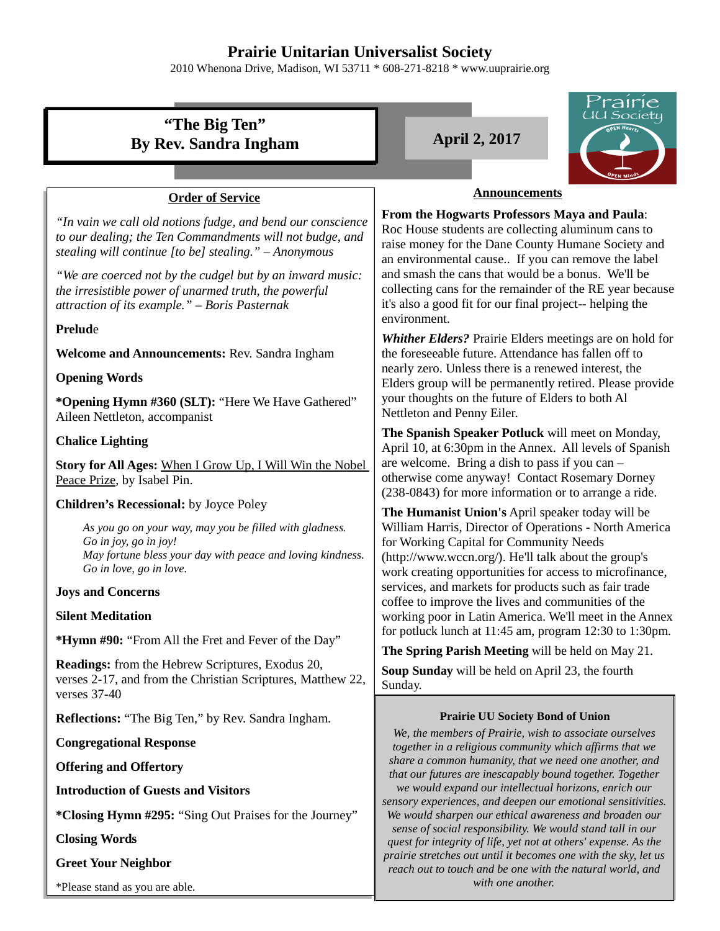## **Prairie Unitarian Universalist Society**

2010 Whenona Drive, Madison, WI 53711 \* 608-271-8218 \* www.uuprairie.org

| rairie                                                                                                                                                                           |                                                                                                                                                                                                                                                                                                                                                                                                              |  |  |
|----------------------------------------------------------------------------------------------------------------------------------------------------------------------------------|--------------------------------------------------------------------------------------------------------------------------------------------------------------------------------------------------------------------------------------------------------------------------------------------------------------------------------------------------------------------------------------------------------------|--|--|
| "The Big Ten"                                                                                                                                                                    | <u>IU Society</u>                                                                                                                                                                                                                                                                                                                                                                                            |  |  |
| <b>By Rev. Sandra Ingham</b>                                                                                                                                                     | <b>April 2, 2017</b>                                                                                                                                                                                                                                                                                                                                                                                         |  |  |
|                                                                                                                                                                                  |                                                                                                                                                                                                                                                                                                                                                                                                              |  |  |
| <b>Order of Service</b>                                                                                                                                                          | <b>Announcements</b>                                                                                                                                                                                                                                                                                                                                                                                         |  |  |
| "In vain we call old notions fudge, and bend our conscience<br>to our dealing; the Ten Commandments will not budge, and<br>stealing will continue [to be] stealing." - Anonymous | From the Hogwarts Professors Maya and Paula:<br>Roc House students are collecting aluminum cans to<br>raise money for the Dane County Humane Society and<br>an environmental cause If you can remove the label<br>and smash the cans that would be a bonus. We'll be<br>collecting cans for the remainder of the RE year because<br>it's also a good fit for our final project-- helping the<br>environment. |  |  |
| "We are coerced not by the cudgel but by an inward music:<br>the irresistible power of unarmed truth, the powerful<br>attraction of its example." - Boris Pasternak              |                                                                                                                                                                                                                                                                                                                                                                                                              |  |  |
| <b>Prelude</b>                                                                                                                                                                   | Whither Elders? Prairie Elders meetings are on hold for                                                                                                                                                                                                                                                                                                                                                      |  |  |
| Welcome and Announcements: Rev. Sandra Ingham                                                                                                                                    | the foreseeable future. Attendance has fallen off to                                                                                                                                                                                                                                                                                                                                                         |  |  |
| <b>Opening Words</b>                                                                                                                                                             | nearly zero. Unless there is a renewed interest, the<br>Elders group will be permanently retired. Please provide                                                                                                                                                                                                                                                                                             |  |  |
| *Opening Hymn #360 (SLT): "Here We Have Gathered"<br>Aileen Nettleton, accompanist                                                                                               | your thoughts on the future of Elders to both Al<br>Nettleton and Penny Eiler.                                                                                                                                                                                                                                                                                                                               |  |  |
| <b>Chalice Lighting</b>                                                                                                                                                          | The Spanish Speaker Potluck will meet on Monday,<br>April 10, at 6:30pm in the Annex. All levels of Spanish<br>are welcome. Bring a dish to pass if you can -<br>otherwise come anyway! Contact Rosemary Dorney<br>(238-0843) for more information or to arrange a ride.                                                                                                                                     |  |  |
| Story for All Ages: When I Grow Up, I Will Win the Nobel<br>Peace Prize, by Isabel Pin.                                                                                          |                                                                                                                                                                                                                                                                                                                                                                                                              |  |  |
| Children's Recessional: by Joyce Poley                                                                                                                                           | The Humanist Union's April speaker today will be                                                                                                                                                                                                                                                                                                                                                             |  |  |
| As you go on your way, may you be filled with gladness.<br>Go in joy, go in joy!<br>May fortune bless your day with peace and loving kindness.<br>Go in love, go in love.        | William Harris, Director of Operations - North America<br>for Working Capital for Community Needs<br>(http://www.wccn.org/). He'll talk about the group's<br>work creating opportunities for access to microfinance,                                                                                                                                                                                         |  |  |
| <b>Joys and Concerns</b>                                                                                                                                                         | services, and markets for products such as fair trade<br>coffee to improve the lives and communities of the<br>working poor in Latin America. We'll meet in the Annex                                                                                                                                                                                                                                        |  |  |
| <b>Silent Meditation</b>                                                                                                                                                         |                                                                                                                                                                                                                                                                                                                                                                                                              |  |  |
| *Hymn #90: "From All the Fret and Fever of the Day"                                                                                                                              | for potluck lunch at 11:45 am, program 12:30 to 1:30pm.<br>The Spring Parish Meeting will be held on May 21.                                                                                                                                                                                                                                                                                                 |  |  |
| Readings: from the Hebrew Scriptures, Exodus 20,<br>verses 2-17, and from the Christian Scriptures, Matthew 22,<br>verses 37-40                                                  | Soup Sunday will be held on April 23, the fourth<br>Sunday.                                                                                                                                                                                                                                                                                                                                                  |  |  |
| Reflections: "The Big Ten," by Rev. Sandra Ingham.                                                                                                                               | <b>Prairie UU Society Bond of Union</b>                                                                                                                                                                                                                                                                                                                                                                      |  |  |
| <b>Congregational Response</b>                                                                                                                                                   | We, the members of Prairie, wish to associate ourselves<br>together in a religious community which affirms that we                                                                                                                                                                                                                                                                                           |  |  |
| <b>Offering and Offertory</b>                                                                                                                                                    | share a common humanity, that we need one another, and<br>that our futures are inescapably bound together. Together                                                                                                                                                                                                                                                                                          |  |  |
| <b>Introduction of Guests and Visitors</b>                                                                                                                                       | we would expand our intellectual horizons, enrich our                                                                                                                                                                                                                                                                                                                                                        |  |  |
| *Closing Hymn #295: "Sing Out Praises for the Journey"                                                                                                                           | sensory experiences, and deepen our emotional sensitivities.<br>We would sharpen our ethical awareness and broaden our                                                                                                                                                                                                                                                                                       |  |  |
| <b>Closing Words</b>                                                                                                                                                             | sense of social responsibility. We would stand tall in our<br>quest for integrity of life, yet not at others' expense. As the                                                                                                                                                                                                                                                                                |  |  |
|                                                                                                                                                                                  | prairie stretches out until it becomes one with the sky, let us                                                                                                                                                                                                                                                                                                                                              |  |  |

*reach out to touch and be one with the natural world, and with one another.* 

**Greet Your Neighbor**

\*Please stand as you are able.